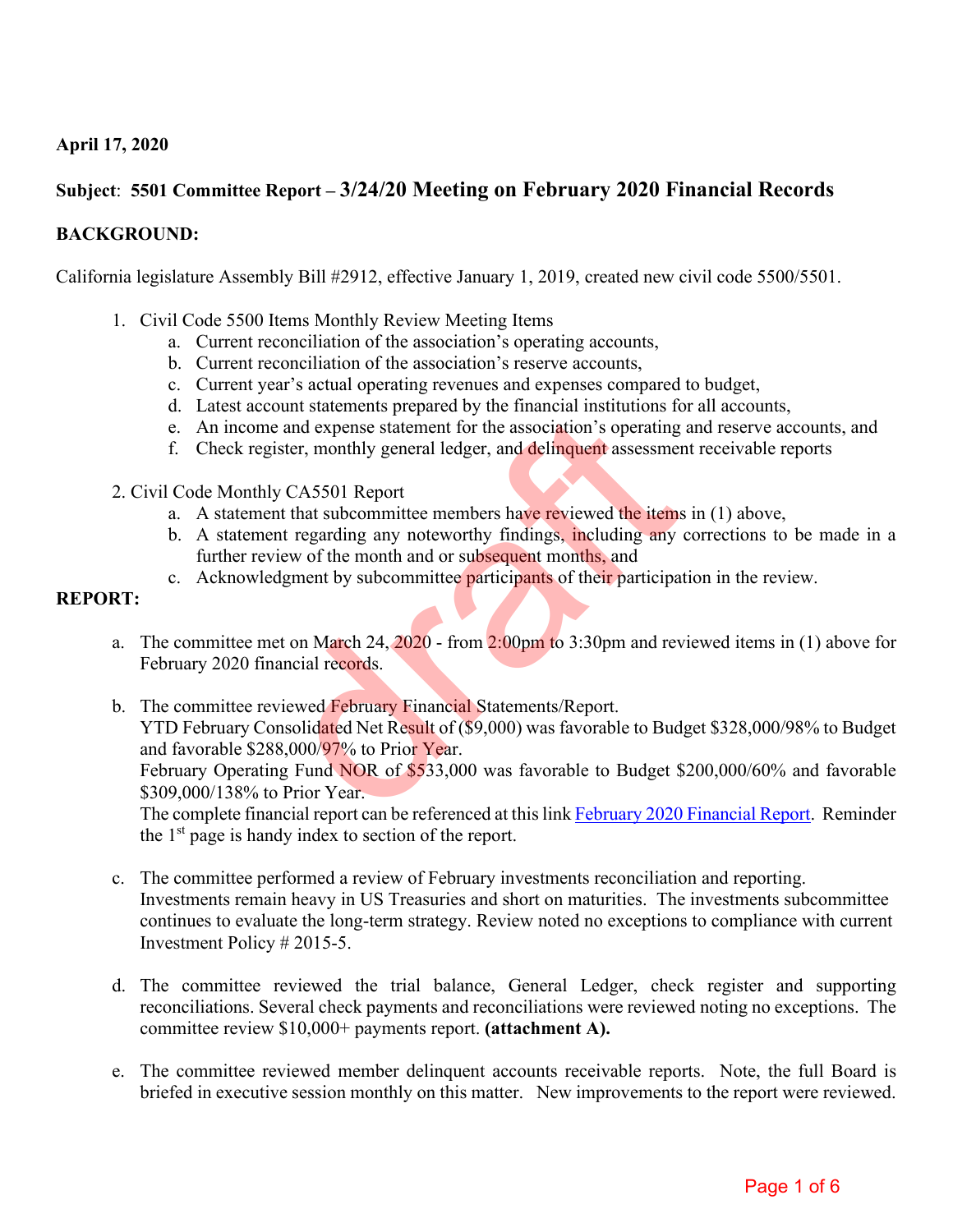# **April 17, 2020**

# **Subject**: **5501 Committee Report – 3/24/20 Meeting on February 2020 Financial Records**

### **BACKGROUND:**

California legislature Assembly Bill #2912, effective January 1, 2019, created new civil code 5500/5501.

- 1. Civil Code 5500 Items Monthly Review Meeting Items
	- a. Current reconciliation of the association's operating accounts,
	- b. Current reconciliation of the association's reserve accounts,
	- c. Current year's actual operating revenues and expenses compared to budget,
	- d. Latest account statements prepared by the financial institutions for all accounts,
	- e. An income and expense statement for the association's operating and reserve accounts, and
	- f. Check register, monthly general ledger, and delinquent assessment receivable reports
- 2. Civil Code Monthly CA5501 Report
	- a. A statement that subcommittee members have reviewed the items in (1) above,
	- b. A statement regarding any noteworthy findings, including any corrections to be made in a further review of the month and or subsequent months, and
	- c. Acknowledgment by subcommittee participants of their participation in the review.

### **REPORT:**

- a. The committee met on March 24,  $\frac{2020}{100}$  from 2:00pm to 3:30pm and reviewed items in (1) above for February 2020 financial records.
- b. The committee reviewed February Financial Statements/Report. YTD February Consolidated Net Result of (\$9,000) was favorable to Budget \$328,000/98% to Budget and favorable \$288,000/97% to Prior Year. February Operating Fund NOR of \$533,000 was favorable to Budget \$200,000/60% and favorable \$309,000/138% to Prior Year. between the material statements in a statement of the association's operating<br>gister, monthly general ledger, and delinquent assessmes<br>interesting any noteworthy findings, including any<br>interest regarding any noteworthy fi

The complete financial report can be referenced at this lin[k February 2020 Financial Report.](https://cdn1.tahoedonner.com/wp-content/uploads/2020/03/20152012/2020-02-Financial-Packet.pdf) Reminder the  $1<sup>st</sup>$  page is handy index to section of the report.

- c. The committee performed a review of February investments reconciliation and reporting. Investments remain heavy in US Treasuries and short on maturities. The investments subcommittee continues to evaluate the long-term strategy. Review noted no exceptions to compliance with current Investment Policy # 2015-5.
- d. The committee reviewed the trial balance, General Ledger, check register and supporting reconciliations. Several check payments and reconciliations were reviewed noting no exceptions. The committee review \$10,000+ payments report. **(attachment A).**
- e. The committee reviewed member delinquent accounts receivable reports. Note, the full Board is briefed in executive session monthly on this matter. New improvements to the report were reviewed.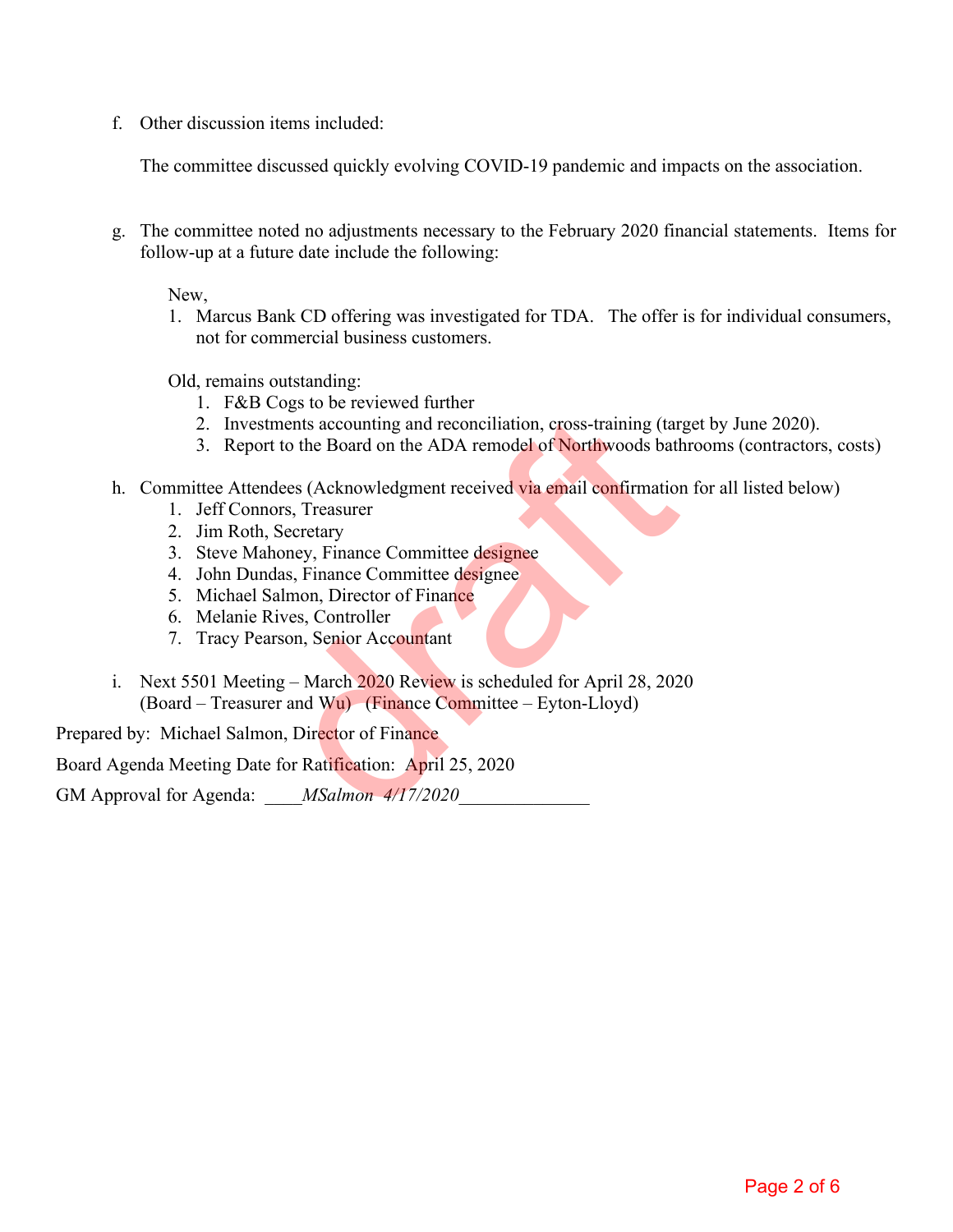f. Other discussion items included:

The committee discussed quickly evolving COVID-19 pandemic and impacts on the association.

g. The committee noted no adjustments necessary to the February 2020 financial statements. Items for follow-up at a future date include the following:

New,

1. Marcus Bank CD offering was investigated for TDA. The offer is for individual consumers, not for commercial business customers.

Old, remains outstanding:

- 1. F&B Cogs to be reviewed further
- 2. Investments accounting and reconciliation, cross-training (target by June 2020).
- 3. Report to the Board on the ADA remodel of Northwoods bathrooms (contractors, costs)
- h. Committee Attendees (Acknowledgment received via email confirmation for all listed below)
	- 1. Jeff Connors, Treasurer
	- 2. Jim Roth, Secretary
	- 3. Steve Mahoney, Finance Committee designee
	- 4. John Dundas, Finance Committee designee
	- 5. Michael Salmon, Director of Finance
	- 6. Melanie Rives, Controller
	- 7. Tracy Pearson, Senior Accountant
- i. Next 5501 Meeting March 2020 Review is scheduled for April 28, 2020  $(Board - Treasure and Wu)$  (Finance Committee – Eyton-Lloyd) ments accounting and reconciliation, cross-training (tart to the Board on the ADA remodel of Northwoods bath<br>
dees (Acknowledgment received via email confirmation<br>
ors, Treasurer<br>
Secretary<br>
honey, Finance Committee design

Prepared by: Michael Salmon, Director of Finance

Board Agenda Meeting Date for Ratification: April 25, 2020

GM Approval for Agenda: \_\_\_\_*MSalmon 4/17/2020*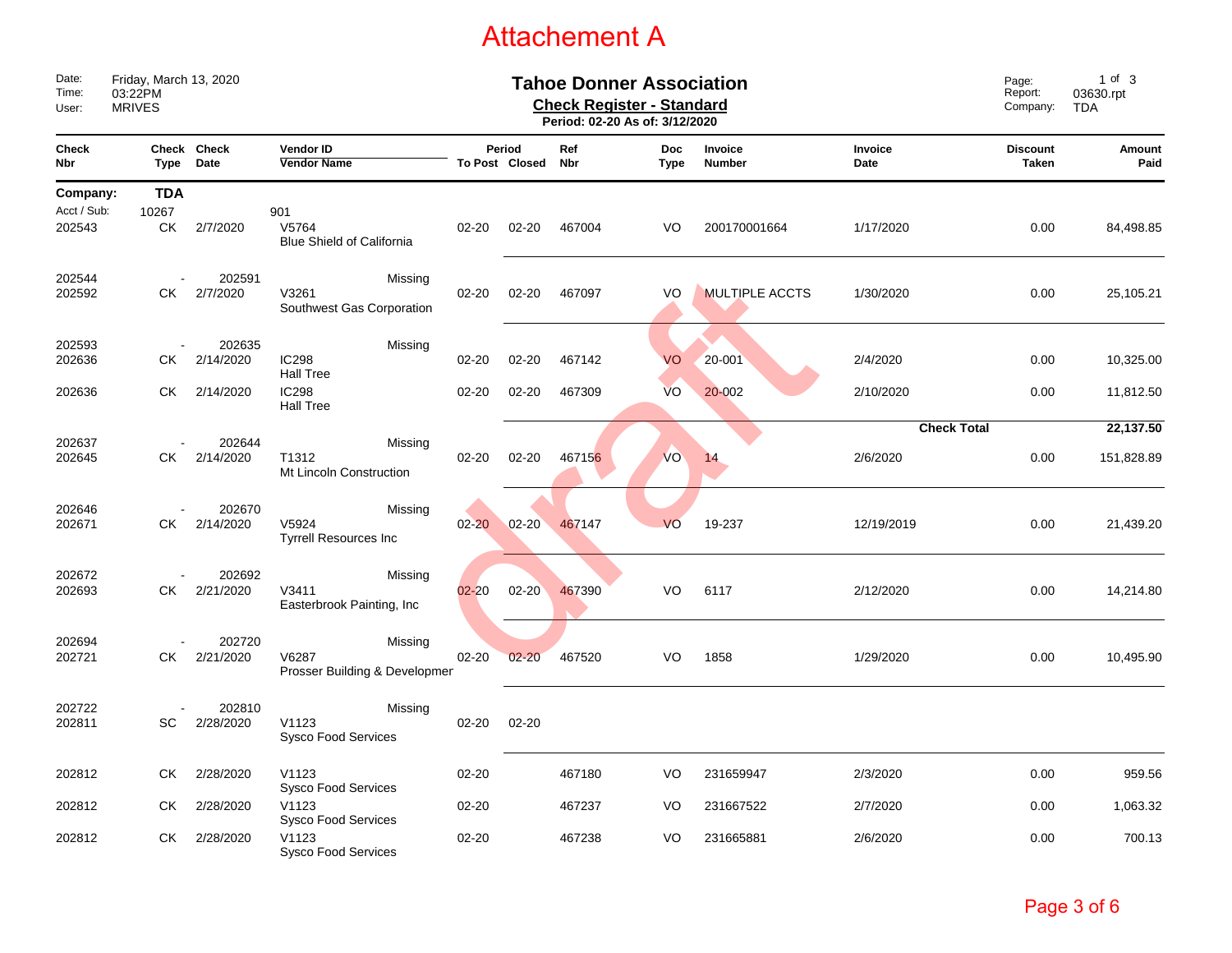|                                   |                                                    |                     |                                                   |                                   |                          | <b>Attachement A</b> |                           |                       |                                |                          |                         |
|-----------------------------------|----------------------------------------------------|---------------------|---------------------------------------------------|-----------------------------------|--------------------------|----------------------|---------------------------|-----------------------|--------------------------------|--------------------------|-------------------------|
| Date:<br>Time:<br>User:           | Friday, March 13, 2020<br>03:22PM<br><b>MRIVES</b> |                     | Page:<br>Report:<br>Company:                      | 1 of 3<br>03630.rpt<br><b>TDA</b> |                          |                      |                           |                       |                                |                          |                         |
| <b>Check</b><br>Nbr               | Type                                               | Check Check<br>Date | Vendor ID<br><b>Vendor Name</b>                   |                                   | Period<br>To Post Closed | Ref<br>Nbr           | <b>Doc</b><br><b>Type</b> | Invoice<br>Number     | Invoice<br>Date                | <b>Discount</b><br>Taken | Amount<br>Paid          |
| Company:<br>Acct / Sub:<br>202543 | <b>TDA</b><br>10267<br>СK                          | 2/7/2020            | 901<br>V5764<br><b>Blue Shield of California</b>  | $02 - 20$                         | $02 - 20$                | 467004               | VO                        | 200170001664          | 1/17/2020                      | 0.00                     | 84,498.85               |
| 202544<br>202592                  | СK                                                 | 202591<br>2/7/2020  | Missing<br>V3261<br>Southwest Gas Corporation     | $02 - 20$                         | $02 - 20$                | 467097               | VO                        | <b>MULTIPLE ACCTS</b> | 1/30/2020                      | 0.00                     | 25,105.21               |
| 202593<br>202636                  | СK                                                 | 202635<br>2/14/2020 | Missing<br><b>IC298</b><br><b>Hall Tree</b>       | $02 - 20$                         | $02 - 20$                | 467142               | VO                        | 20-001                | 2/4/2020                       | 0.00                     | 10,325.00               |
| 202636                            | СK                                                 | 2/14/2020           | <b>IC298</b><br><b>Hall Tree</b>                  | $02 - 20$                         | $02 - 20$                | 467309               | <b>VO</b>                 | 20-002                | 2/10/2020                      | 0.00                     | 11,812.50               |
| 202637<br>202645                  | СK                                                 | 202644<br>2/14/2020 | Missing<br>T1312<br>Mt Lincoln Construction       | $02 - 20$                         | $02 - 20$                | 467156               | <b>VO</b>                 | 14                    | <b>Check Total</b><br>2/6/2020 | 0.00                     | 22,137.50<br>151,828.89 |
| 202646<br>202671                  | СK                                                 | 202670<br>2/14/2020 | Missing<br>V5924<br><b>Tyrrell Resources Inc</b>  | $02 - 20$                         | $02 - 20$                | 467147               | VO                        | 19-237                | 12/19/2019                     | 0.00                     | 21,439.20               |
| 202672<br>202693                  | СK                                                 | 202692<br>2/21/2020 | Missing<br>V3411<br>Easterbrook Painting, Inc     | $02 - 20$                         | $02 - 20$                | 467390               | VO                        | 6117                  | 2/12/2020                      | 0.00                     | 14,214.80               |
| 202694<br>202721                  | СK                                                 | 202720<br>2/21/2020 | Missing<br>V6287<br>Prosser Building & Developmer | $02 - 20$                         | $02 - 20$                | 467520               | VO                        | 1858                  | 1/29/2020                      | 0.00                     | 10,495.90               |
| 202722<br>202811                  | SC                                                 | 202810<br>2/28/2020 | Missing<br>V1123<br>Sysco Food Services           | 02-20                             | 02-20                    |                      |                           |                       |                                |                          |                         |
| 202812                            | CK                                                 | 2/28/2020           | V1123<br><b>Sysco Food Services</b>               | $02 - 20$                         |                          | 467180               | VO                        | 231659947             | 2/3/2020                       | 0.00                     | 959.56                  |
| 202812                            | СK                                                 | 2/28/2020           | V1123<br><b>Sysco Food Services</b>               | $02 - 20$                         |                          | 467237               | VO                        | 231667522             | 2/7/2020                       | 0.00                     | 1,063.32                |
| 202812                            | СK                                                 | 2/28/2020           | V1123<br>Sysco Food Services                      | 02-20                             |                          | 467238               | VO                        | 231665881             | 2/6/2020                       | 0.00                     | 700.13                  |
|                                   |                                                    |                     |                                                   |                                   |                          |                      |                           |                       |                                |                          | Page 3 of 6             |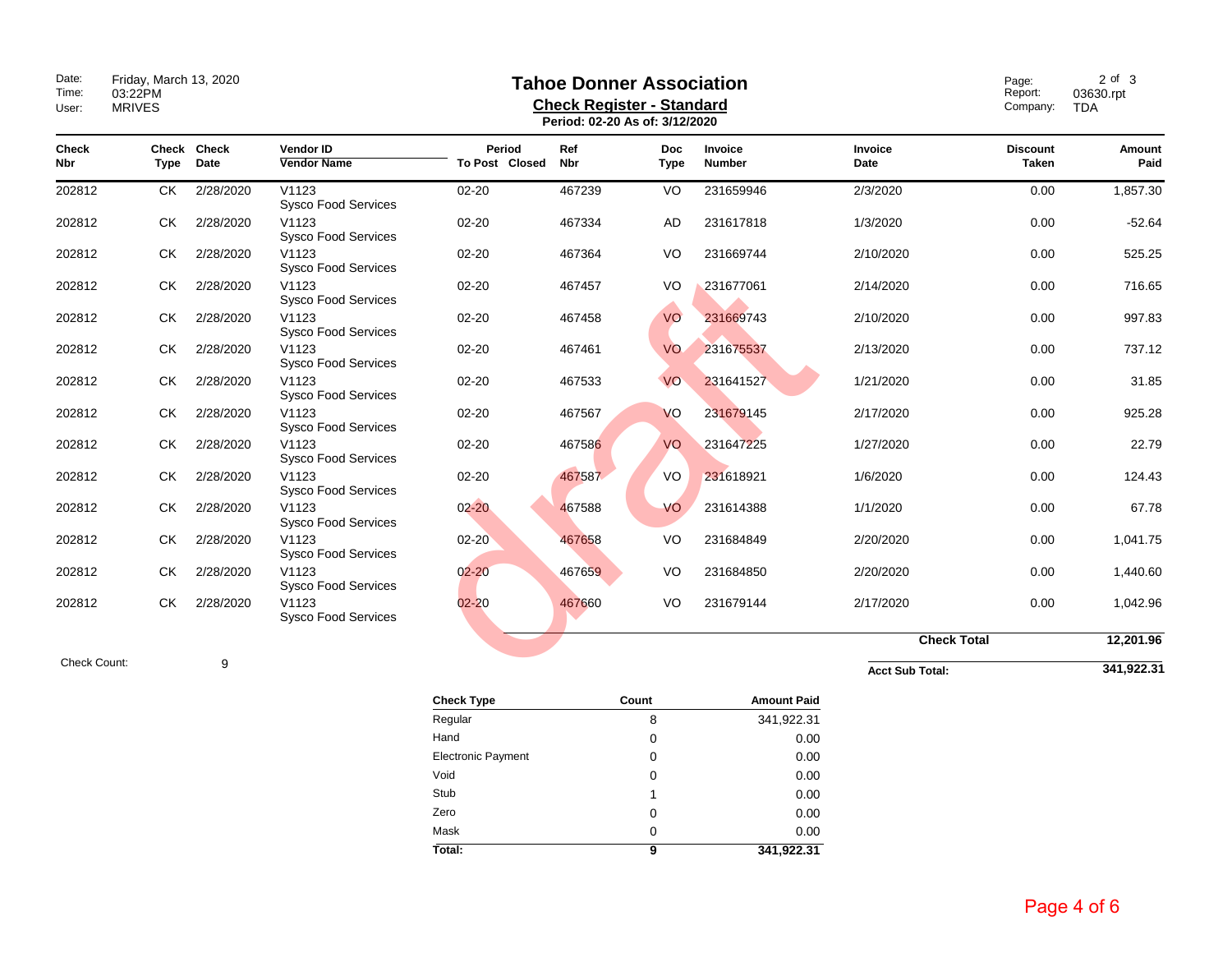| Date:<br>Time:<br>User:    | Friday, March 13, 2020<br>03:22PM<br><b>MRIVES</b> | Page:<br>Report:<br>Company: | $2$ of $3$<br>03630.rpt<br>TDA         |                          |                   |                           |                          |                        |                                 |                |
|----------------------------|----------------------------------------------------|------------------------------|----------------------------------------|--------------------------|-------------------|---------------------------|--------------------------|------------------------|---------------------------------|----------------|
| <b>Check</b><br><b>Nbr</b> | Type                                               | Check Check<br>Date          | <b>Vendor ID</b><br><b>Vendor Name</b> | Period<br>To Post Closed | Ref<br><b>Nbr</b> | <b>Doc</b><br><b>Type</b> | <b>Invoice</b><br>Number | <b>Invoice</b><br>Date | <b>Discount</b><br><b>Taken</b> | Amount<br>Paid |
| 202812                     | CK                                                 | 2/28/2020                    | V1123<br><b>Sysco Food Services</b>    | $02 - 20$                | 467239            | VO                        | 231659946                | 2/3/2020               | 0.00                            | 1,857.30       |
| 202812                     | <b>CK</b>                                          | 2/28/2020                    | V1123<br><b>Sysco Food Services</b>    | $02 - 20$                | 467334            | <b>AD</b>                 | 231617818                | 1/3/2020               | 0.00                            | $-52.64$       |
| 202812                     | СK                                                 | 2/28/2020                    | V1123<br><b>Sysco Food Services</b>    | $02 - 20$                | 467364            | VO                        | 231669744                | 2/10/2020              | 0.00                            | 525.25         |
| 202812                     | СK                                                 | 2/28/2020                    | V1123<br><b>Sysco Food Services</b>    | $02 - 20$                | 467457            | VO                        | 231677061                | 2/14/2020              | 0.00                            | 716.65         |
| 202812                     | СK                                                 | 2/28/2020                    | V1123<br><b>Sysco Food Services</b>    | $02 - 20$                | 467458            | VO                        | 231669743                | 2/10/2020              | 0.00                            | 997.83         |
| 202812                     | СK                                                 | 2/28/2020                    | V1123<br><b>Sysco Food Services</b>    | $02 - 20$                | 467461            | <b>VO</b>                 | 231675537                | 2/13/2020              | 0.00                            | 737.12         |
| 202812                     | <b>CK</b>                                          | 2/28/2020                    | V1123<br><b>Sysco Food Services</b>    | $02 - 20$                | 467533            | VO                        | 231641527                | 1/21/2020              | 0.00                            | 31.85          |
| 202812                     | <b>CK</b>                                          | 2/28/2020                    | V1123<br><b>Sysco Food Services</b>    | $02 - 20$                | 467567            | VO                        | 231679145                | 2/17/2020              | 0.00                            | 925.28         |
| 202812                     | <b>CK</b>                                          | 2/28/2020                    | V1123<br><b>Sysco Food Services</b>    | $02 - 20$                | 467586            | VO                        | 231647225                | 1/27/2020              | 0.00                            | 22.79          |
| 202812                     | СK                                                 | 2/28/2020                    | V1123<br><b>Sysco Food Services</b>    | $02 - 20$                | 467587            | VO                        | 231618921                | 1/6/2020               | 0.00                            | 124.43         |
| 202812                     | СK                                                 | 2/28/2020                    | V1123<br><b>Sysco Food Services</b>    | $02 - 20$                | 467588            | VO                        | 231614388                | 1/1/2020               | 0.00                            | 67.78          |
| 202812                     | СK                                                 | 2/28/2020                    | V1123<br><b>Sysco Food Services</b>    | $02 - 20$                | 467658            | VO                        | 231684849                | 2/20/2020              | 0.00                            | 1,041.75       |
| 202812                     | <b>CK</b>                                          | 2/28/2020                    | V1123<br>Sysco Food Services           | $02 - 20$                | 467659            | VO                        | 231684850                | 2/20/2020              | 0.00                            | 1,440.60       |
| 202812                     | <b>CK</b>                                          | 2/28/2020                    | V1123<br><b>Sysco Food Services</b>    | $02 - 20$                | 467660            | VO                        | 231679144                | 2/17/2020              | 0.00                            | 1,042.96       |
|                            |                                                    |                              |                                        |                          |                   |                           |                          | <b>Check Total</b>     |                                 | 12,201.96      |
| Check Count:               |                                                    | 9                            |                                        |                          |                   |                           |                          | <b>Acct Sub Total:</b> |                                 | 341,922.31     |

| <b>Check Type</b>         | Count    | <b>Amount Paid</b> |
|---------------------------|----------|--------------------|
| Regular                   | 8        | 341,922.31         |
| Hand                      | 0        | 0.00               |
| <b>Electronic Payment</b> | 0        | 0.00               |
| Void                      | 0        | 0.00               |
| Stub                      | 1        | 0.00               |
| Zero                      | 0        | 0.00               |
| Mask                      | $\Omega$ | 0.00               |
| Total:                    | 9        | 341,922.31         |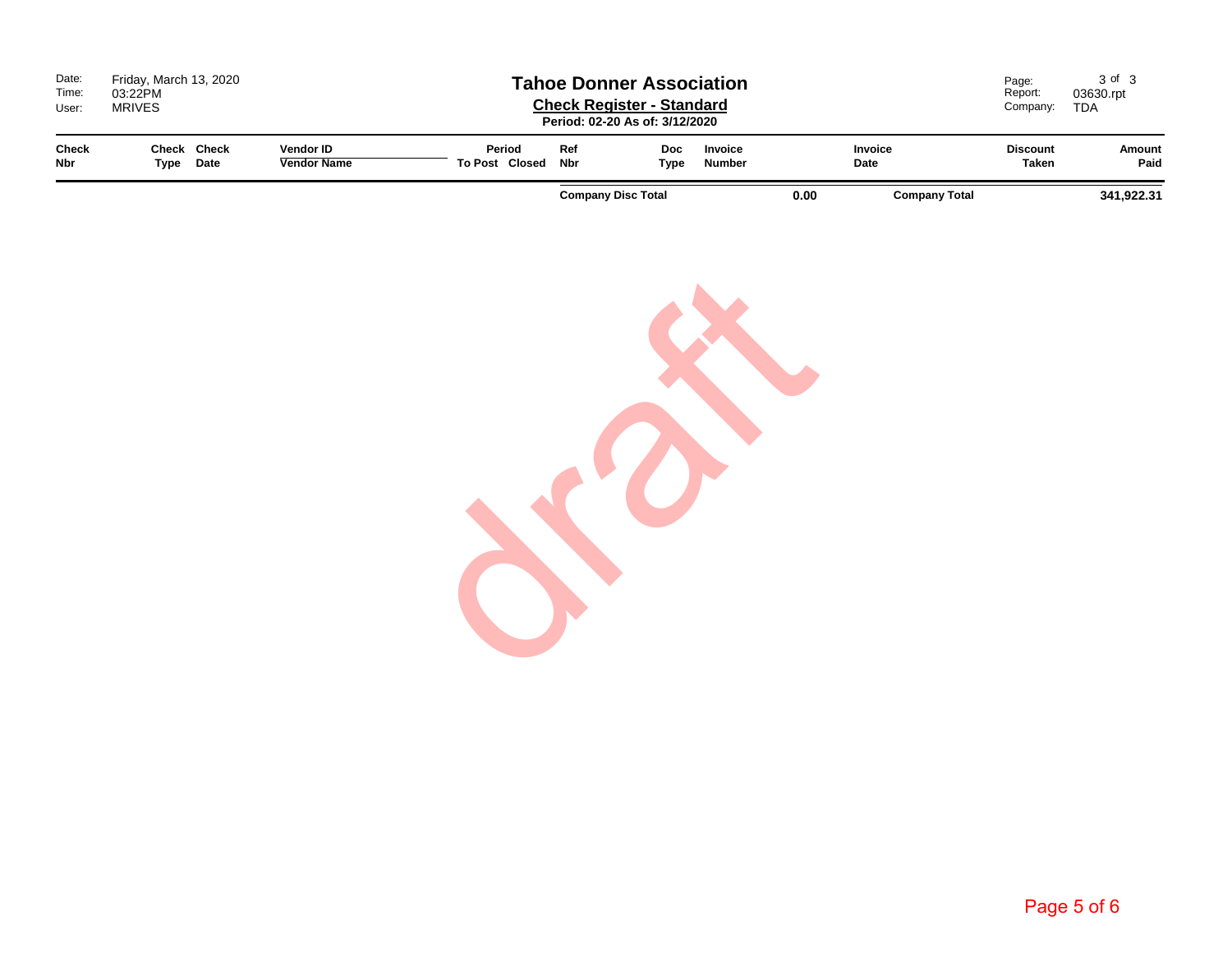| Date:<br>Time:<br>User:    | 03:22PM<br><b>MRIVES</b>    | Friday, March 13, 2020<br><b>Tahoe Donner Association</b><br><b>Check Register - Standard</b><br>Period: 02-20 As of: 3/12/2020 |                                        |                          |            |                           |                          | Page:<br>Report:<br>Company: | 3 of 3<br>03630.rpt<br>TDA |                                 |                |
|----------------------------|-----------------------------|---------------------------------------------------------------------------------------------------------------------------------|----------------------------------------|--------------------------|------------|---------------------------|--------------------------|------------------------------|----------------------------|---------------------------------|----------------|
| <b>Check</b><br><b>Nbr</b> | Check Check<br>Date<br>Type |                                                                                                                                 | <b>Vendor ID</b><br><b>Vendor Name</b> | Period<br>To Post Closed | Ref<br>Nbr | <b>Doc</b><br>Type        | <b>Invoice</b><br>Number |                              | <b>Invoice</b><br>Date     | <b>Discount</b><br><b>Taken</b> | Amount<br>Paid |
|                            |                             |                                                                                                                                 |                                        |                          |            | <b>Company Disc Total</b> |                          | 0.00                         | <b>Company Total</b>       |                                 | 341,922.31     |